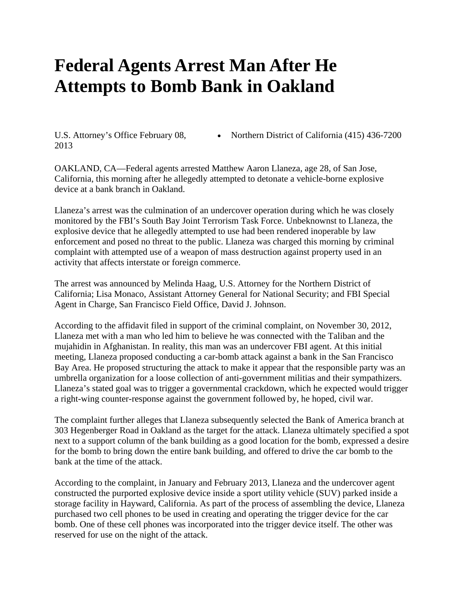## **Federal Agents Arrest Man After He Attempts to Bomb Bank in Oakland**

U.S. Attorney's Office February 08, 2013

• Northern District of California (415) 436-7200

OAKLAND, CA—Federal agents arrested Matthew Aaron Llaneza, age 28, of San Jose, California, this morning after he allegedly attempted to detonate a vehicle-borne explosive device at a bank branch in Oakland.

Llaneza's arrest was the culmination of an undercover operation during which he was closely monitored by the FBI's South Bay Joint Terrorism Task Force. Unbeknownst to Llaneza, the explosive device that he allegedly attempted to use had been rendered inoperable by law enforcement and posed no threat to the public. Llaneza was charged this morning by criminal complaint with attempted use of a weapon of mass destruction against property used in an activity that affects interstate or foreign commerce.

The arrest was announced by Melinda Haag, U.S. Attorney for the Northern District of California; Lisa Monaco, Assistant Attorney General for National Security; and FBI Special Agent in Charge, San Francisco Field Office, David J. Johnson.

According to the affidavit filed in support of the criminal complaint, on November 30, 2012, Llaneza met with a man who led him to believe he was connected with the Taliban and the mujahidin in Afghanistan. In reality, this man was an undercover FBI agent. At this initial meeting, Llaneza proposed conducting a car-bomb attack against a bank in the San Francisco Bay Area. He proposed structuring the attack to make it appear that the responsible party was an umbrella organization for a loose collection of anti-government militias and their sympathizers. Llaneza's stated goal was to trigger a governmental crackdown, which he expected would trigger a right-wing counter-response against the government followed by, he hoped, civil war.

The complaint further alleges that Llaneza subsequently selected the Bank of America branch at 303 Hegenberger Road in Oakland as the target for the attack. Llaneza ultimately specified a spot next to a support column of the bank building as a good location for the bomb, expressed a desire for the bomb to bring down the entire bank building, and offered to drive the car bomb to the bank at the time of the attack.

According to the complaint, in January and February 2013, Llaneza and the undercover agent constructed the purported explosive device inside a sport utility vehicle (SUV) parked inside a storage facility in Hayward, California. As part of the process of assembling the device, Llaneza purchased two cell phones to be used in creating and operating the trigger device for the car bomb. One of these cell phones was incorporated into the trigger device itself. The other was reserved for use on the night of the attack.